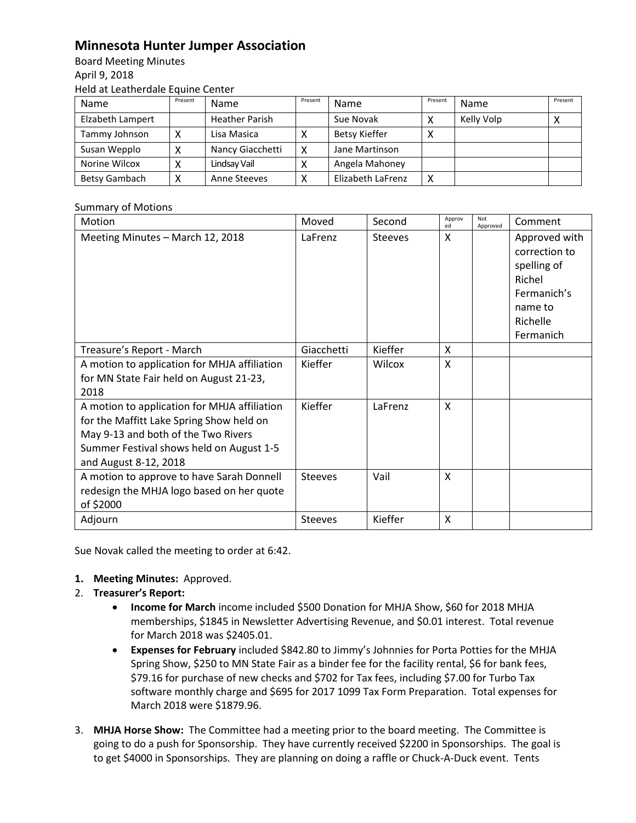## **Minnesota Hunter Jumper Association**

Board Meeting Minutes April 9, 2018 Held at Leatherdale Equine Center

| Name             | Present | Name                  | Present | Name                 | Present   | Name       | Present |
|------------------|---------|-----------------------|---------|----------------------|-----------|------------|---------|
| Elzabeth Lampert |         | <b>Heather Parish</b> |         | Sue Novak            |           | Kelly Volp |         |
| Tammy Johnson    |         | Lisa Masica           |         | <b>Betsy Kieffer</b> | $\lambda$ |            |         |
| Susan Wepplo     |         | Nancy Giacchetti      | x       | Jane Martinson       |           |            |         |
| Norine Wilcox    |         | Lindsay Vail          |         | Angela Mahoney       |           |            |         |
| Betsy Gambach    |         | Anne Steeves          |         | Elizabeth LaFrenz    | Χ         |            |         |

## Summary of Motions

| Motion                                                                                                                                                                                               | Moved          | Second         | Approv<br>ed | Not<br>Approved | Comment                                                                                                    |
|------------------------------------------------------------------------------------------------------------------------------------------------------------------------------------------------------|----------------|----------------|--------------|-----------------|------------------------------------------------------------------------------------------------------------|
| Meeting Minutes - March 12, 2018                                                                                                                                                                     | LaFrenz        | <b>Steeves</b> | X            |                 | Approved with<br>correction to<br>spelling of<br>Richel<br>Fermanich's<br>name to<br>Richelle<br>Fermanich |
| Treasure's Report - March                                                                                                                                                                            | Giacchetti     | Kieffer        | X            |                 |                                                                                                            |
| A motion to application for MHJA affiliation<br>for MN State Fair held on August 21-23,<br>2018                                                                                                      | Kieffer        | Wilcox         | X            |                 |                                                                                                            |
| A motion to application for MHJA affiliation<br>for the Maffitt Lake Spring Show held on<br>May 9-13 and both of the Two Rivers<br>Summer Festival shows held on August 1-5<br>and August 8-12, 2018 | Kieffer        | LaFrenz        | X            |                 |                                                                                                            |
| A motion to approve to have Sarah Donnell<br>redesign the MHJA logo based on her quote<br>of \$2000                                                                                                  | <b>Steeves</b> | Vail           | X            |                 |                                                                                                            |
| Adjourn                                                                                                                                                                                              | <b>Steeves</b> | Kieffer        | X            |                 |                                                                                                            |

Sue Novak called the meeting to order at 6:42.

- **1. Meeting Minutes:** Approved.
- 2. **Treasurer's Report:** 
	- **Income for March** income included \$500 Donation for MHJA Show, \$60 for 2018 MHJA memberships, \$1845 in Newsletter Advertising Revenue, and \$0.01 interest. Total revenue for March 2018 was \$2405.01.
	- **Expenses for February** included \$842.80 to Jimmy's Johnnies for Porta Potties for the MHJA Spring Show, \$250 to MN State Fair as a binder fee for the facility rental, \$6 for bank fees, \$79.16 for purchase of new checks and \$702 for Tax fees, including \$7.00 for Turbo Tax software monthly charge and \$695 for 2017 1099 Tax Form Preparation. Total expenses for March 2018 were \$1879.96.
- 3. **MHJA Horse Show:** The Committee had a meeting prior to the board meeting. The Committee is going to do a push for Sponsorship. They have currently received \$2200 in Sponsorships. The goal is to get \$4000 in Sponsorships. They are planning on doing a raffle or Chuck-A-Duck event. Tents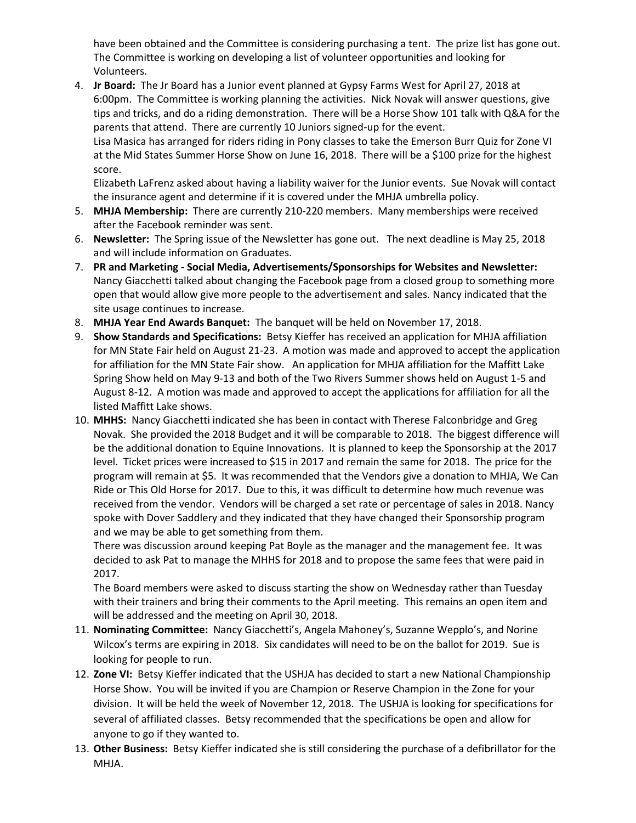have been obtained and the Committee is considering purchasing a tent. The prize list has gone out. The Committee is working on developing a list of volunteer opportunities and looking for Volunteers.

4. **Jr Board:** The Jr Board has a Junior event planned at Gypsy Farms West for April 27, 2018 at 6:00pm. The Committee is working planning the activities. Nick Novak will answer questions, give tips and tricks, and do a riding demonstration. There will be a Horse Show 101 talk with Q&A for the parents that attend. There are currently 10 Juniors signed-up for the event.

Lisa Masica has arranged for riders riding in Pony classes to take the Emerson Burr Quiz for Zone VI at the Mid States Summer Horse Show on June 16, 2018. There will be a \$100 prize for the highest score.

Elizabeth LaFrenz asked about having a liability waiver for the Junior events. Sue Novak will contact the insurance agent and determine if it is covered under the MHJA umbrella policy.

- 5. **MHJA Membership:** There are currently 210-220 members. Many memberships were received after the Facebook reminder was sent.
- 6. **Newsletter:** The Spring issue of the Newsletter has gone out. The next deadline is May 25, 2018 and will include information on Graduates.
- 7. **PR and Marketing - Social Media, Advertisements/Sponsorships for Websites and Newsletter:** Nancy Giacchetti talked about changing the Facebook page from a closed group to something more open that would allow give more people to the advertisement and sales. Nancy indicated that the site usage continues to increase.
- 8. **MHJA Year End Awards Banquet:** The banquet will be held on November 17, 2018.
- 9. **Show Standards and Specifications:** Betsy Kieffer has received an application for MHJA affiliation for MN State Fair held on August 21-23. A motion was made and approved to accept the application for affiliation for the MN State Fair show. An application for MHJA affiliation for the Maffitt Lake Spring Show held on May 9-13 and both of the Two Rivers Summer shows held on August 1-5 and August 8-12. A motion was made and approved to accept the applications for affiliation for all the listed Maffitt Lake shows.
- 10. **MHHS:** Nancy Giacchetti indicated she has been in contact with Therese Falconbridge and Greg Novak. She provided the 2018 Budget and it will be comparable to 2018. The biggest difference will be the additional donation to Equine Innovations. It is planned to keep the Sponsorship at the 2017 level. Ticket prices were increased to \$15 in 2017 and remain the same for 2018. The price for the program will remain at \$5. It was recommended that the Vendors give a donation to MHJA, We Can Ride or This Old Horse for 2017. Due to this, it was difficult to determine how much revenue was received from the vendor. Vendors will be charged a set rate or percentage of sales in 2018. Nancy spoke with Dover Saddlery and they indicated that they have changed their Sponsorship program and we may be able to get something from them.

There was discussion around keeping Pat Boyle as the manager and the management fee. It was decided to ask Pat to manage the MHHS for 2018 and to propose the same fees that were paid in 2017.

The Board members were asked to discuss starting the show on Wednesday rather than Tuesday with their trainers and bring their comments to the April meeting. This remains an open item and will be addressed and the meeting on April 30, 2018.

- 11. **Nominating Committee:** Nancy Giacchetti's, Angela Mahoney's, Suzanne Wepplo's, and Norine Wilcox's terms are expiring in 2018. Six candidates will need to be on the ballot for 2019. Sue is looking for people to run.
- 12. **Zone VI:** Betsy Kieffer indicated that the USHJA has decided to start a new National Championship Horse Show. You will be invited if you are Champion or Reserve Champion in the Zone for your division. It will be held the week of November 12, 2018. The USHJA is looking for specifications for several of affiliated classes. Betsy recommended that the specifications be open and allow for anyone to go if they wanted to.
- 13. **Other Business:** Betsy Kieffer indicated she is still considering the purchase of a defibrillator for the MHJA.